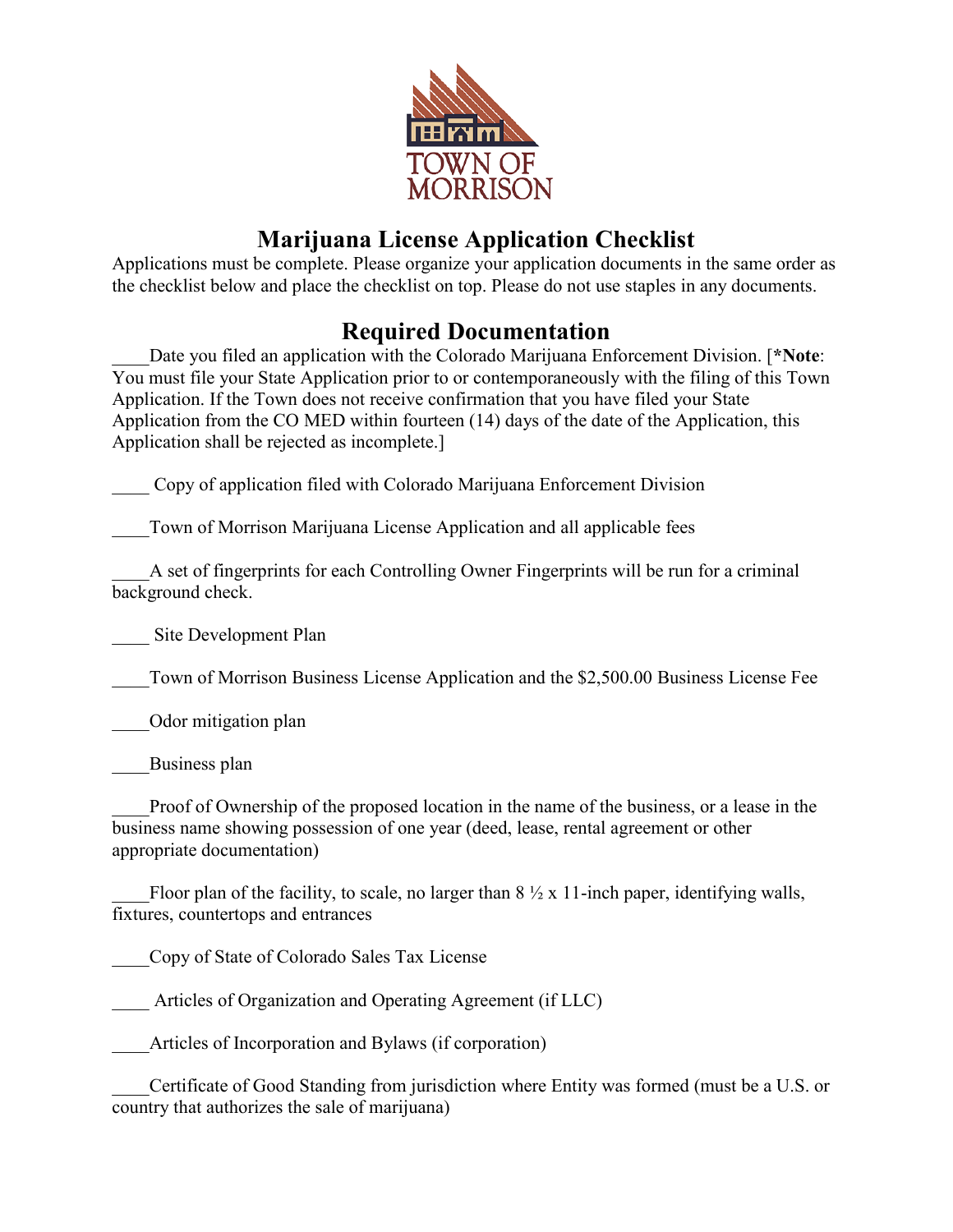

# **Marijuana License Application Checklist**

Applications must be complete. Please organize your application documents in the same order as the checklist below and place the checklist on top. Please do not use staples in any documents.

## **Required Documentation**

\_\_\_\_Date you filed an application with the Colorado Marijuana Enforcement Division. [**\*Note**: You must file your State Application prior to or contemporaneously with the filing of this Town Application. If the Town does not receive confirmation that you have filed your State Application from the CO MED within fourteen (14) days of the date of the Application, this Application shall be rejected as incomplete.]

\_\_\_\_ Copy of application filed with Colorado Marijuana Enforcement Division

Town of Morrison Marijuana License Application and all applicable fees

\_\_\_\_A set of fingerprints for each Controlling Owner Fingerprints will be run for a criminal background check.

Site Development Plan

\_\_\_\_Town of Morrison Business License Application and the \$2,500.00 Business License Fee

\_\_\_\_Odor mitigation plan

Business plan

\_\_\_\_Proof of Ownership of the proposed location in the name of the business, or a lease in the business name showing possession of one year (deed, lease, rental agreement or other appropriate documentation)

Floor plan of the facility, to scale, no larger than  $8 \frac{1}{2} \times 11$ -inch paper, identifying walls, fixtures, countertops and entrances

\_\_\_\_Copy of State of Colorado Sales Tax License

Articles of Organization and Operating Agreement (if LLC)

Articles of Incorporation and Bylaws (if corporation)

Certificate of Good Standing from jurisdiction where Entity was formed (must be a U.S. or country that authorizes the sale of marijuana)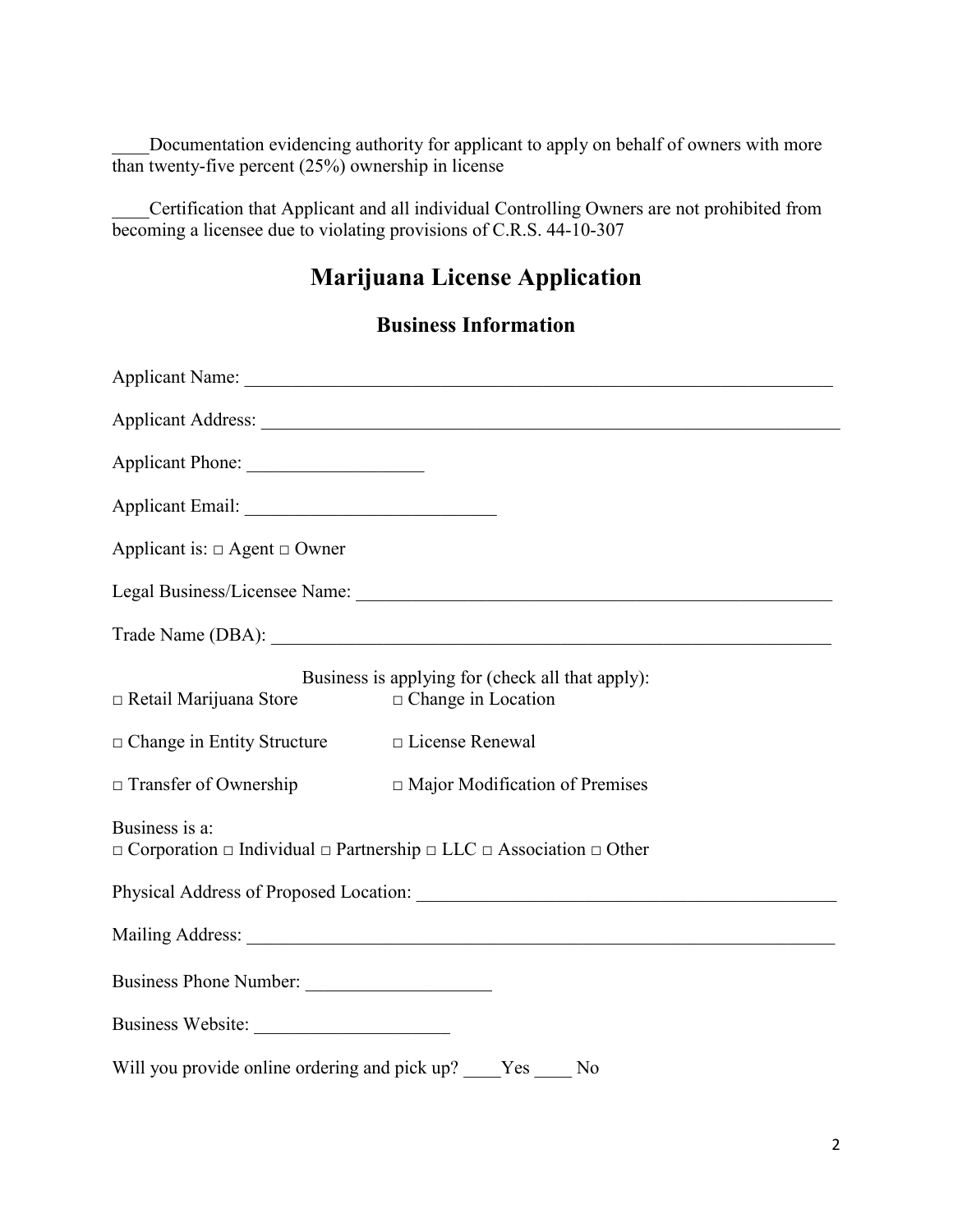Documentation evidencing authority for applicant to apply on behalf of owners with more than twenty-five percent (25%) ownership in license

\_\_\_\_Certification that Applicant and all individual Controlling Owners are not prohibited from becoming a licensee due to violating provisions of C.R.S. 44-10-307

## **Marijuana License Application**

#### **Business Information**

| Applicant Phone:                                                                                                     |                                                                               |
|----------------------------------------------------------------------------------------------------------------------|-------------------------------------------------------------------------------|
|                                                                                                                      |                                                                               |
| Applicant is: $\Box$ Agent $\Box$ Owner                                                                              |                                                                               |
|                                                                                                                      |                                                                               |
|                                                                                                                      |                                                                               |
| $\Box$ Retail Marijuana Store                                                                                        | Business is applying for (check all that apply):<br>$\Box$ Change in Location |
| $\Box$ Change in Entity Structure                                                                                    | □ License Renewal                                                             |
| $\Box$ Transfer of Ownership                                                                                         | □ Major Modification of Premises                                              |
| Business is a:<br>$\Box$ Corporation $\Box$ Individual $\Box$ Partnership $\Box$ LLC $\Box$ Association $\Box$ Other |                                                                               |
|                                                                                                                      |                                                                               |
|                                                                                                                      |                                                                               |
| Business Phone Number:                                                                                               |                                                                               |
| Business Website:                                                                                                    |                                                                               |
| Will you provide online ordering and pick up? ____Yes ____ No                                                        |                                                                               |